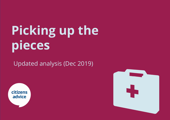# **Picking up the pieces**

Updated analysis (Dec 2019)



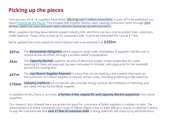### **Picking up the pieces**

Since January 2018 16 suppliers have failed, affecting over 1 million consumers. In June 2019 we published our report [Picking up the Pieces.](https://www.citizensadvice.org.uk/about-us/policy/policy-research-topics/energy-policy-research-and-consultation-responses/energy-policy-research/picking-up-the-pieces/) This showed that supplier failures were causing consumers harm through poor service, additional costs and poor debt collection processes by administrators.

When suppliers fail they leave behind unpaid industry bills, and there can be a cost to protect their customers credit balances. These costs to end up on consumers bills. In June we estimated this cost at £172m.

We've updated the costs based on recent failures and now estimate it at **£255m**

- The **Renewables Obligation** which supports large-scale renewables. If suppliers fail this cost is shared across all others through a process called mutualisation. **£97m**
- The **Capacity Market** supports security of electricity supply. It was suspended for a year awaiting EU State aid approval, but was reinstated in October, with payments for the standstill period then coming due. **£6m**
- The **Last Resort Supplier Payment** is a levy that can be used by a the supplier that takes on the customers of a failed supplier to recover certain costs, including protecting credit balances. **£47m**
- **Industry creditors** are companies who provide energy services like networks or metering, and are owed money by the failed supplier. **£104m**

In addition to this, there is currently **a further £19m unpaid RO and Capacity Market payments** from active suppliers.

Our research also showed there are protection gaps for customers of failed suppliers in relation to debt. The administrators of these companies don't have to follow Ofgem rules on back billing or assess a customer's ability to pay We now estimate that **over £170m of customer debt** is being collected, the majority by administrators.